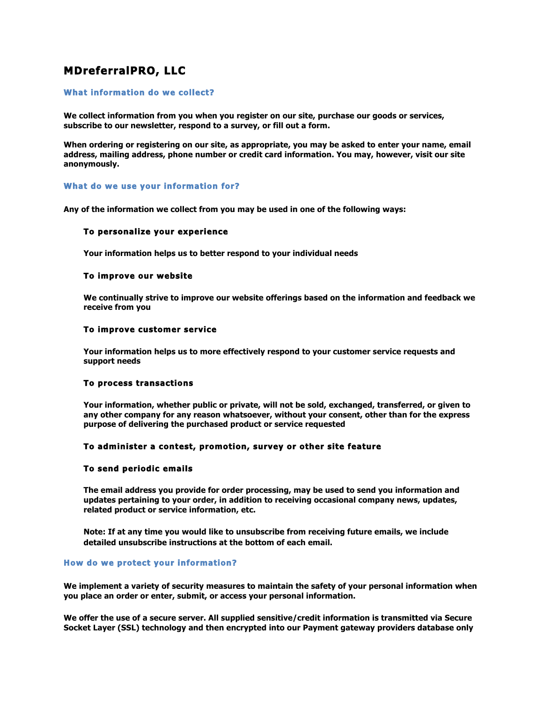# **MDreferralPRO, LLC**

### **What information do we collect?**

**We collect information from you when you register on our site, purchase our goods or services, subscribe to our newsletter, respond to a survey, or fill out a form.** 

**When ordering or registering on our site, as appropriate, you may be asked to enter your name, email address, mailing address, phone number or credit card information. You may, however, visit our site anonymously.**

# **What do we use your information for?**

**Any of the information we collect from you may be used in one of the following ways:**

# **To personalize your experience**

**Your information helps us to better respond to your individual needs**

#### **To improve our website**

**We continually strive to improve our website offerings based on the information and feedback we receive from you**

#### **To improve customer service**

**Your information helps us to more effectively respond to your customer service requests and support needs**

#### **To process transactions**

**Your information, whether public or private, will not be sold, exchanged, transferred, or given to any other company for any reason whatsoever, without your consent, other than for the express purpose of delivering the purchased product or service requested**

# **To administer a contest, promotion, survey or other site feature**

### **To send periodic emails**

**The email address you provide for order processing, may be used to send you information and updates pertaining to your order, in addition to receiving occasional company news, updates, related product or service information, etc.**

**Note: If at any time you would like to unsubscribe from receiving future emails, we include detailed unsubscribe instructions at the bottom of each email.** 

#### **How do we protect your information?**

**We implement a variety of security measures to maintain the safety of your personal information when you place an order or enter, submit, or access your personal information.**

**We offer the use of a secure server. All supplied sensitive/credit information is transmitted via Secure Socket Layer (SSL) technology and then encrypted into our Payment gateway providers database only**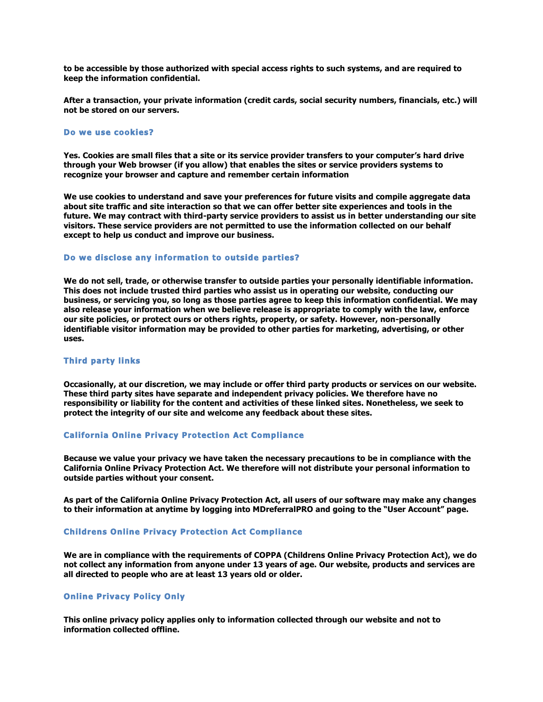**to be accessible by those authorized with special access rights to such systems, and are required to keep the information confidential.**

**After a transaction, your private information (credit cards, social security numbers, financials, etc.) will not be stored on our servers.**

#### **Do we use cookies?**

**Yes. Cookies are small files that a site or its service provider transfers to your computer's hard drive through your Web browser (if you allow) that enables the sites or service providers systems to recognize your browser and capture and remember certain information**

**We use cookies to understand and save your preferences for future visits and compile aggregate data about site traffic and site interaction so that we can offer better site experiences and tools in the future. We may contract with third-party service providers to assist us in better understanding our site visitors. These service providers are not permitted to use the information collected on our behalf except to help us conduct and improve our business.**

#### **Do we disclose any information to outside parties?**

**We do not sell, trade, or otherwise transfer to outside parties your personally identifiable information. This does not include trusted third parties who assist us in operating our website, conducting our business, or servicing you, so long as those parties agree to keep this information confidential. We may also release your information when we believe release is appropriate to comply with the law, enforce our site policies, or protect ours or others rights, property, or safety. However, non-personally identifiable visitor information may be provided to other parties for marketing, advertising, or other uses.**

## **Third party links**

**Occasionally, at our discretion, we may include or offer third party products or services on our website. These third party sites have separate and independent privacy policies. We therefore have no responsibility or liability for the content and activities of these linked sites. Nonetheless, we seek to protect the integrity of our site and welcome any feedback about these sites.**

#### **California Online Privacy Protection Act Compliance**

**Because we value your privacy we have taken the necessary precautions to be in compliance with the California Online Privacy Protection Act. We therefore will not distribute your personal information to outside parties without your consent.**

**As part of the California Online Privacy Protection Act, all users of our software may make any changes to their information at anytime by logging into MDreferralPRO and going to the "User Account" page.**

#### **Childrens Online Privacy Protection Act Compliance**

**We are in compliance with the requirements of COPPA (Childrens Online Privacy Protection Act), we do not collect any information from anyone under 13 years of age. Our website, products and services are all directed to people who are at least 13 years old or older.**

#### **Online Privacy Policy Only**

**This online privacy policy applies only to information collected through our website and not to information collected offline.**